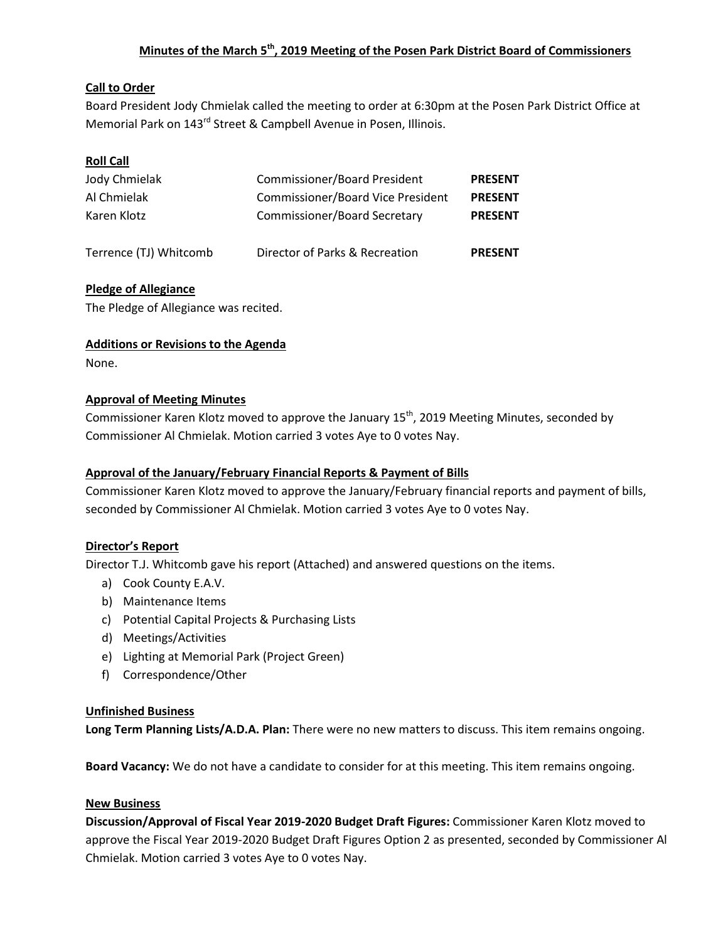## **Minutes of the March 5 th, 2019 Meeting of the Posen Park District Board of Commissioners**

### **Call to Order**

Board President Jody Chmielak called the meeting to order at 6:30pm at the Posen Park District Office at Memorial Park on 143<sup>rd</sup> Street & Campbell Avenue in Posen, Illinois.

## **Roll Call**

| Jody Chmielak          | <b>Commissioner/Board President</b>      | <b>PRESENT</b> |
|------------------------|------------------------------------------|----------------|
| Al Chmielak            | <b>Commissioner/Board Vice President</b> | <b>PRESENT</b> |
| Karen Klotz            | <b>Commissioner/Board Secretary</b>      | <b>PRESENT</b> |
|                        |                                          |                |
| Terrence (TJ) Whitcomb | Director of Parks & Recreation           | <b>PRESENT</b> |

### **Pledge of Allegiance**

The Pledge of Allegiance was recited.

#### **Additions or Revisions to the Agenda**

None.

#### **Approval of Meeting Minutes**

Commissioner Karen Klotz moved to approve the January 15<sup>th</sup>, 2019 Meeting Minutes, seconded by Commissioner Al Chmielak. Motion carried 3 votes Aye to 0 votes Nay.

#### **Approval of the January/February Financial Reports & Payment of Bills**

Commissioner Karen Klotz moved to approve the January/February financial reports and payment of bills, seconded by Commissioner Al Chmielak. Motion carried 3 votes Aye to 0 votes Nay.

#### **Director's Report**

Director T.J. Whitcomb gave his report (Attached) and answered questions on the items.

- a) Cook County E.A.V.
- b) Maintenance Items
- c) Potential Capital Projects & Purchasing Lists
- d) Meetings/Activities
- e) Lighting at Memorial Park (Project Green)
- f) Correspondence/Other

#### **Unfinished Business**

**Long Term Planning Lists/A.D.A. Plan:** There were no new matters to discuss. This item remains ongoing.

**Board Vacancy:** We do not have a candidate to consider for at this meeting. This item remains ongoing.

#### **New Business**

**Discussion/Approval of Fiscal Year 2019-2020 Budget Draft Figures:** Commissioner Karen Klotz moved to approve the Fiscal Year 2019-2020 Budget Draft Figures Option 2 as presented, seconded by Commissioner Al Chmielak. Motion carried 3 votes Aye to 0 votes Nay.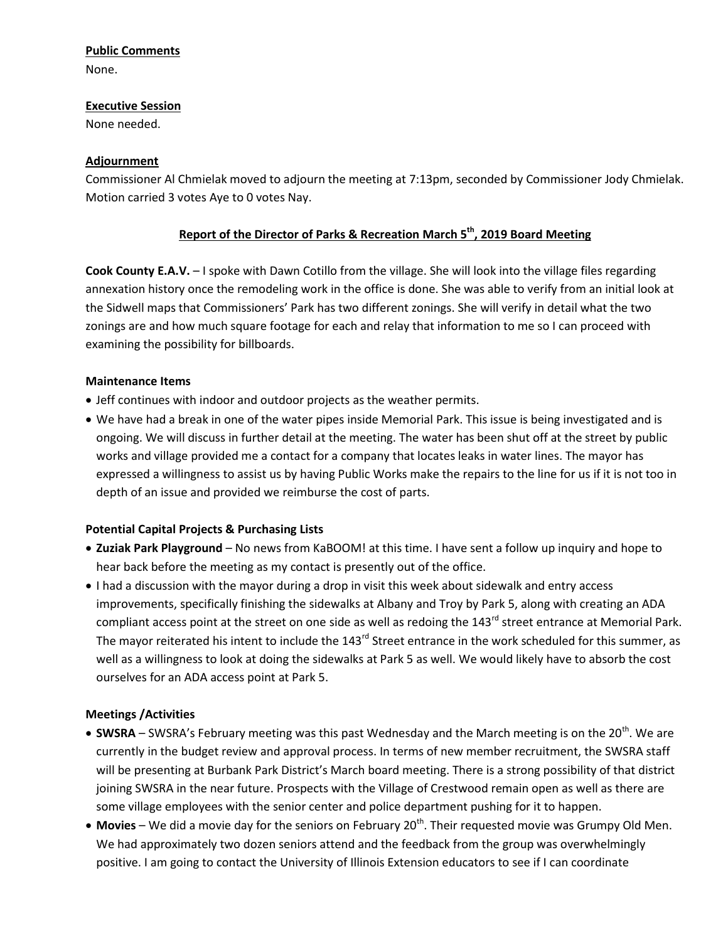### **Public Comments**

None.

#### **Executive Session**

None needed.

## **Adjournment**

Commissioner Al Chmielak moved to adjourn the meeting at 7:13pm, seconded by Commissioner Jody Chmielak. Motion carried 3 votes Aye to 0 votes Nay.

# **Report of the Director of Parks & Recreation March 5th, 2019 Board Meeting**

**Cook County E.A.V.** – I spoke with Dawn Cotillo from the village. She will look into the village files regarding annexation history once the remodeling work in the office is done. She was able to verify from an initial look at the Sidwell maps that Commissioners' Park has two different zonings. She will verify in detail what the two zonings are and how much square footage for each and relay that information to me so I can proceed with examining the possibility for billboards.

### **Maintenance Items**

- Jeff continues with indoor and outdoor projects as the weather permits.
- We have had a break in one of the water pipes inside Memorial Park. This issue is being investigated and is ongoing. We will discuss in further detail at the meeting. The water has been shut off at the street by public works and village provided me a contact for a company that locates leaks in water lines. The mayor has expressed a willingness to assist us by having Public Works make the repairs to the line for us if it is not too in depth of an issue and provided we reimburse the cost of parts.

## **Potential Capital Projects & Purchasing Lists**

- **Zuziak Park Playground** No news from KaBOOM! at this time. I have sent a follow up inquiry and hope to hear back before the meeting as my contact is presently out of the office.
- I had a discussion with the mayor during a drop in visit this week about sidewalk and entry access improvements, specifically finishing the sidewalks at Albany and Troy by Park 5, along with creating an ADA compliant access point at the street on one side as well as redoing the 143<sup>rd</sup> street entrance at Memorial Park. The mayor reiterated his intent to include the 143<sup>rd</sup> Street entrance in the work scheduled for this summer, as well as a willingness to look at doing the sidewalks at Park 5 as well. We would likely have to absorb the cost ourselves for an ADA access point at Park 5.

## **Meetings /Activities**

- **SWSRA** SWSRA's February meeting was this past Wednesday and the March meeting is on the 20<sup>th</sup>. We are currently in the budget review and approval process. In terms of new member recruitment, the SWSRA staff will be presenting at Burbank Park District's March board meeting. There is a strong possibility of that district joining SWSRA in the near future. Prospects with the Village of Crestwood remain open as well as there are some village employees with the senior center and police department pushing for it to happen.
- **Movies** We did a movie day for the seniors on February 20<sup>th</sup>. Their requested movie was Grumpy Old Men. We had approximately two dozen seniors attend and the feedback from the group was overwhelmingly positive. I am going to contact the University of Illinois Extension educators to see if I can coordinate